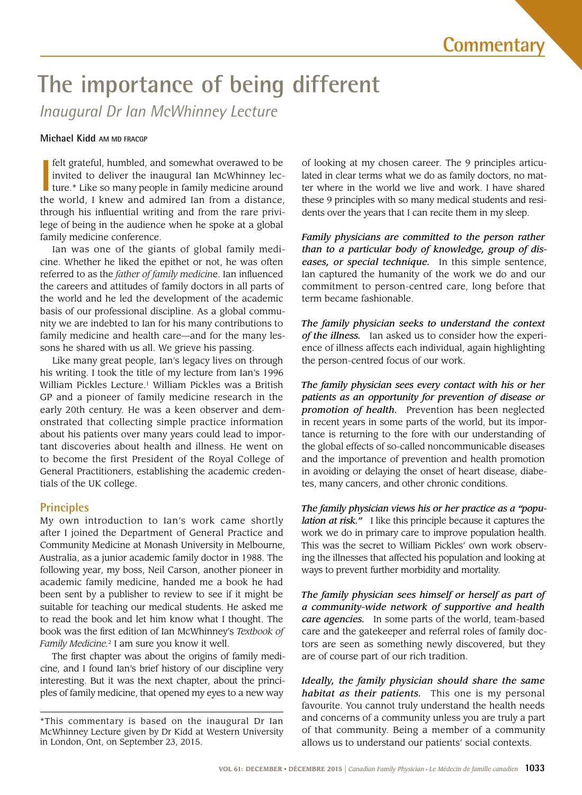# **The importance of being different**

*Inaugural Dr Ian McWhinney Lecture*

#### **Michael Kidd AM MD FRACGP**

**I** felt grateful, humbled, and somewhat overawed to be invited to deliver the inaugural Ian McWhinney lecture.\* Like so many people in family medicine around the world, I knew and admired Ian from a distance, felt grateful, humbled, and somewhat overawed to be invited to deliver the inaugural Ian McWhinney lecture.\* Like so many people in family medicine around through his influential writing and from the rare privilege of being in the audience when he spoke at a global family medicine conference.

Ian was one of the giants of global family medicine. Whether he liked the epithet or not, he was often referred to as the *father of family medicin*e. Ian influenced the careers and attitudes of family doctors in all parts of the world and he led the development of the academic basis of our professional discipline. As a global community we are indebted to Ian for his many contributions to family medicine and health care—and for the many lessons he shared with us all. We grieve his passing.

Like many great people, Ian's legacy lives on through his writing. I took the title of my lecture from Ian's 1996 William Pickles Lecture.<sup>1</sup> William Pickles was a British GP and a pioneer of family medicine research in the early 20th century. He was a keen observer and demonstrated that collecting simple practice information about his patients over many years could lead to important discoveries about health and illness. He went on to become the first President of the Royal College of General Practitioners, establishing the academic credentials of the UK college.

# **Principles**

My own introduction to Ian's work came shortly after I joined the Department of General Practice and Community Medicine at Monash University in Melbourne, Australia, as a junior academic family doctor in 1988. The following year, my boss, Neil Carson, another pioneer in academic family medicine, handed me a book he had been sent by a publisher to review to see if it might be suitable for teaching our medical students. He asked me to read the book and let him know what I thought. The book was the first edition of Ian McWhinney's *Textbook of Family Medicine.*2 I am sure you know it well.

The first chapter was about the origins of family medicine, and I found Ian's brief history of our discipline very interesting. But it was the next chapter, about the principles of family medicine, that opened my eyes to a new way

of looking at my chosen career. The 9 principles articulated in clear terms what we do as family doctors, no matter where in the world we live and work. I have shared these 9 principles with so many medical students and residents over the years that I can recite them in my sleep.

*Family physicians are committed to the person rather than to a particular body of knowledge, group of diseases, or special technique.* In this simple sentence, Ian captured the humanity of the work we do and our commitment to person-centred care, long before that term became fashionable.

*The family physician seeks to understand the context of the illness.* Ian asked us to consider how the experience of illness affects each individual, again highlighting the person-centred focus of our work.

*The family physician sees every contact with his or her patients as an opportunity for prevention of disease or promotion of health.* Prevention has been neglected in recent years in some parts of the world, but its importance is returning to the fore with our understanding of the global effects of so-called noncommunicable diseases and the importance of prevention and health promotion in avoiding or delaying the onset of heart disease, diabetes, many cancers, and other chronic conditions.

*The family physician views his or her practice as a "population at risk."* I like this principle because it captures the work we do in primary care to improve population health. This was the secret to William Pickles' own work observing the illnesses that affected his population and looking at ways to prevent further morbidity and mortality.

*The family physician sees himself or herself as part of a community-wide network of supportive and health care agencies.* In some parts of the world, team-based care and the gatekeeper and referral roles of family doctors are seen as something newly discovered, but they are of course part of our rich tradition.

*Ideally, the family physician should share the same habitat as their patients.* This one is my personal favourite. You cannot truly understand the health needs and concerns of a community unless you are truly a part of that community. Being a member of a community allows us to understand our patients' social contexts.

<sup>\*</sup>This commentary is based on the inaugural Dr Ian McWhinney Lecture given by Dr Kidd at Western University in London, Ont, on September 23, 2015.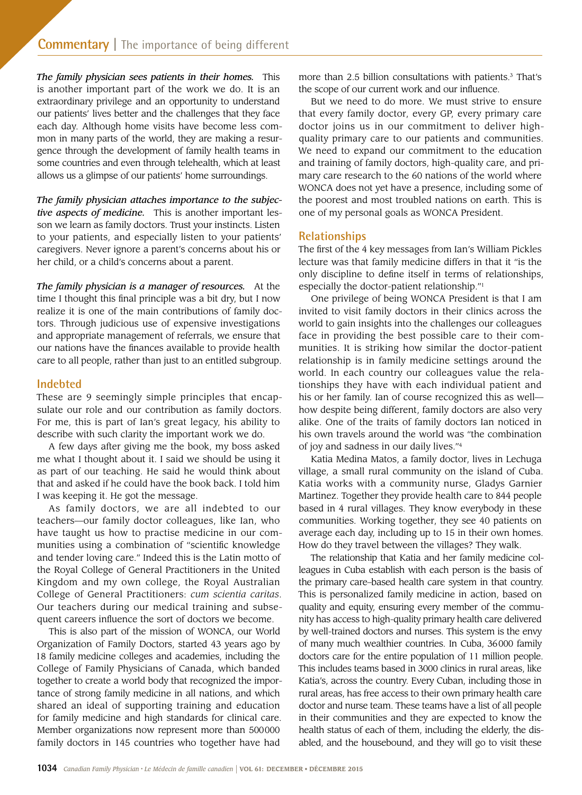*The family physician sees patients in their homes.* This is another important part of the work we do. It is an extraordinary privilege and an opportunity to understand our patients' lives better and the challenges that they face each day. Although home visits have become less common in many parts of the world, they are making a resurgence through the development of family health teams in some countries and even through telehealth, which at least allows us a glimpse of our patients' home surroundings.

*The family physician attaches importance to the subjective aspects of medicine.* This is another important lesson we learn as family doctors. Trust your instincts. Listen to your patients, and especially listen to your patients' caregivers. Never ignore a parent's concerns about his or her child, or a child's concerns about a parent.

*The family physician is a manager of resources.* At the time I thought this final principle was a bit dry, but I now realize it is one of the main contributions of family doctors. Through judicious use of expensive investigations and appropriate management of referrals, we ensure that our nations have the finances available to provide health care to all people, rather than just to an entitled subgroup.

# **Indebted**

These are 9 seemingly simple principles that encapsulate our role and our contribution as family doctors. For me, this is part of Ian's great legacy, his ability to describe with such clarity the important work we do.

A few days after giving me the book, my boss asked me what I thought about it. I said we should be using it as part of our teaching. He said he would think about that and asked if he could have the book back. I told him I was keeping it. He got the message.

As family doctors, we are all indebted to our teachers—our family doctor colleagues, like Ian, who have taught us how to practise medicine in our communities using a combination of "scientific knowledge and tender loving care." Indeed this is the Latin motto of the Royal College of General Practitioners in the United Kingdom and my own college, the Royal Australian College of General Practitioners: *cum scientia caritas*. Our teachers during our medical training and subsequent careers influence the sort of doctors we become.

This is also part of the mission of WONCA, our World Organization of Family Doctors, started 43 years ago by 18 family medicine colleges and academies, including the College of Family Physicians of Canada, which banded together to create a world body that recognized the importance of strong family medicine in all nations, and which shared an ideal of supporting training and education for family medicine and high standards for clinical care. Member organizations now represent more than 500000 family doctors in 145 countries who together have had

more than 2.5 billion consultations with patients.<sup>3</sup> That's the scope of our current work and our influence.

But we need to do more. We must strive to ensure that every family doctor, every GP, every primary care doctor joins us in our commitment to deliver highquality primary care to our patients and communities. We need to expand our commitment to the education and training of family doctors, high-quality care, and primary care research to the 60 nations of the world where WONCA does not yet have a presence, including some of the poorest and most troubled nations on earth. This is one of my personal goals as WONCA President.

# **Relationships**

The first of the 4 key messages from Ian's William Pickles lecture was that family medicine differs in that it "is the only discipline to define itself in terms of relationships, especially the doctor-patient relationship."1

One privilege of being WONCA President is that I am invited to visit family doctors in their clinics across the world to gain insights into the challenges our colleagues face in providing the best possible care to their communities. It is striking how similar the doctor-patient relationship is in family medicine settings around the world. In each country our colleagues value the relationships they have with each individual patient and his or her family. Ian of course recognized this as well how despite being different, family doctors are also very alike. One of the traits of family doctors Ian noticed in his own travels around the world was "the combination of joy and sadness in our daily lives."4

Katia Medina Matos, a family doctor, lives in Lechuga village, a small rural community on the island of Cuba. Katia works with a community nurse, Gladys Garnier Martinez. Together they provide health care to 844 people based in 4 rural villages. They know everybody in these communities. Working together, they see 40 patients on average each day, including up to 15 in their own homes. How do they travel between the villages? They walk.

The relationship that Katia and her family medicine colleagues in Cuba establish with each person is the basis of the primary care–based health care system in that country. This is personalized family medicine in action, based on quality and equity, ensuring every member of the community has access to high-quality primary health care delivered by well-trained doctors and nurses. This system is the envy of many much wealthier countries. In Cuba, 36000 family doctors care for the entire population of 11 million people. This includes teams based in 3000 clinics in rural areas, like Katia's, across the country. Every Cuban, including those in rural areas, has free access to their own primary health care doctor and nurse team. These teams have a list of all people in their communities and they are expected to know the health status of each of them, including the elderly, the disabled, and the housebound, and they will go to visit these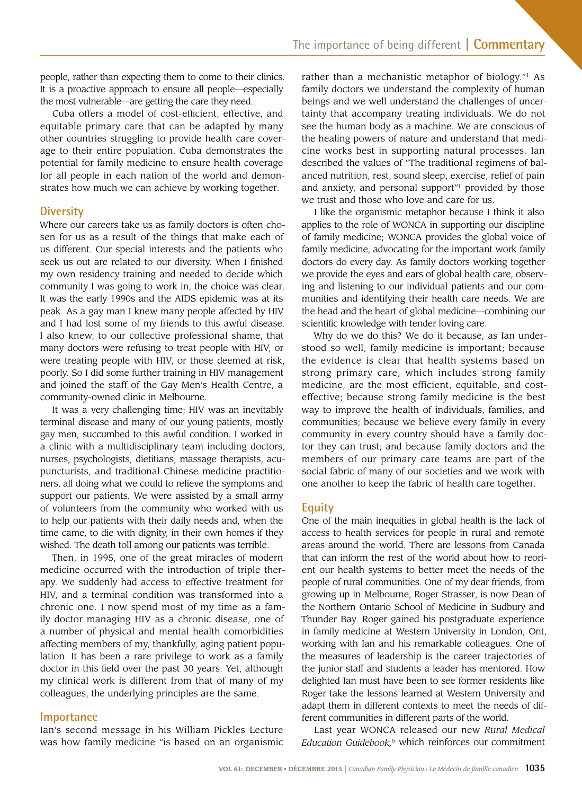people, rather than expecting them to come to their clinics. It is a proactive approach to ensure all people—especially the most vulnerable—are getting the care they need.

Cuba offers a model of cost-efficient, effective, and equitable primary care that can be adapted by many other countries struggling to provide health care coverage to their entire population. Cuba demonstrates the potential for family medicine to ensure health coverage for all people in each nation of the world and demonstrates how much we can achieve by working together.

# **Diversity**

Where our careers take us as family doctors is often chosen for us as a result of the things that make each of us different. Our special interests and the patients who seek us out are related to our diversity. When I finished my own residency training and needed to decide which community I was going to work in, the choice was clear. It was the early 1990s and the AIDS epidemic was at its peak. As a gay man I knew many people affected by HIV and I had lost some of my friends to this awful disease. I also knew, to our collective professional shame, that many doctors were refusing to treat people with HIV, or were treating people with HIV, or those deemed at risk, poorly. So I did some further training in HIV management and joined the staff of the Gay Men's Health Centre, a community-owned clinic in Melbourne.

It was a very challenging time; HIV was an inevitably terminal disease and many of our young patients, mostly gay men, succumbed to this awful condition. I worked in a clinic with a multidisciplinary team including doctors, nurses, psychologists, dietitians, massage therapists, acupuncturists, and traditional Chinese medicine practitioners, all doing what we could to relieve the symptoms and support our patients. We were assisted by a small army of volunteers from the community who worked with us to help our patients with their daily needs and, when the time came, to die with dignity, in their own homes if they wished. The death toll among our patients was terrible.

Then, in 1995, one of the great miracles of modern medicine occurred with the introduction of triple therapy. We suddenly had access to effective treatment for HIV, and a terminal condition was transformed into a chronic one. I now spend most of my time as a family doctor managing HIV as a chronic disease, one of a number of physical and mental health comorbidities affecting members of my, thankfully, aging patient population. It has been a rare privilege to work as a family doctor in this field over the past 30 years. Yet, although my clinical work is different from that of many of my colleagues, the underlying principles are the same.

#### **Importance**

Ian's second message in his William Pickles Lecture was how family medicine "is based on an organismic

rather than a mechanistic metaphor of biology."<sup>1</sup> As family doctors we understand the complexity of human beings and we well understand the challenges of uncertainty that accompany treating individuals. We do not see the human body as a machine. We are conscious of the healing powers of nature and understand that medicine works best in supporting natural processes. Ian described the values of "The traditional regimens of balanced nutrition, rest, sound sleep, exercise, relief of pain and anxiety, and personal support"1 provided by those we trust and those who love and care for us.

I like the organismic metaphor because I think it also applies to the role of WONCA in supporting our discipline of family medicine; WONCA provides the global voice of family medicine, advocating for the important work family doctors do every day. As family doctors working together we provide the eyes and ears of global health care, observing and listening to our individual patients and our communities and identifying their health care needs. We are the head and the heart of global medicine—combining our scientific knowledge with tender loving care.

Why do we do this? We do it because, as Ian understood so well, family medicine is important; because the evidence is clear that health systems based on strong primary care, which includes strong family medicine, are the most efficient, equitable, and costeffective; because strong family medicine is the best way to improve the health of individuals, families, and communities; because we believe every family in every community in every country should have a family doctor they can trust; and because family doctors and the members of our primary care teams are part of the social fabric of many of our societies and we work with one another to keep the fabric of health care together.

# **Equity**

One of the main inequities in global health is the lack of access to health services for people in rural and remote areas around the world. There are lessons from Canada that can inform the rest of the world about how to reorient our health systems to better meet the needs of the people of rural communities. One of my dear friends, from growing up in Melbourne, Roger Strasser, is now Dean of the Northern Ontario School of Medicine in Sudbury and Thunder Bay. Roger gained his postgraduate experience in family medicine at Western University in London, Ont, working with Ian and his remarkable colleagues. One of the measures of leadership is the career trajectories of the junior staff and students a leader has mentored. How delighted Ian must have been to see former residents like Roger take the lessons learned at Western University and adapt them in different contexts to meet the needs of different communities in different parts of the world.

Last year WONCA released our new *Rural Medical Education Guidebook,*5 which reinforces our commitment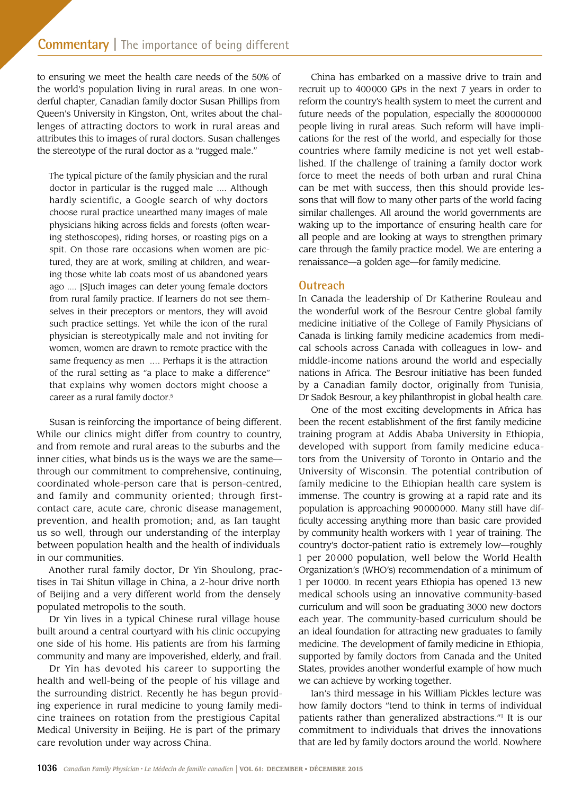to ensuring we meet the health care needs of the 50% of the world's population living in rural areas. In one wonderful chapter, Canadian family doctor Susan Phillips from Queen's University in Kingston, Ont, writes about the challenges of attracting doctors to work in rural areas and attributes this to images of rural doctors. Susan challenges the stereotype of the rural doctor as a "rugged male."

The typical picture of the family physician and the rural doctor in particular is the rugged male .... Although hardly scientific, a Google search of why doctors choose rural practice unearthed many images of male physicians hiking across fields and forests (often wearing stethoscopes), riding horses, or roasting pigs on a spit. On those rare occasions when women are pictured, they are at work, smiling at children, and wearing those white lab coats most of us abandoned years ago .... [S]uch images can deter young female doctors from rural family practice. If learners do not see themselves in their preceptors or mentors, they will avoid such practice settings. Yet while the icon of the rural physician is stereotypically male and not inviting for women, women are drawn to remote practice with the same frequency as men .… Perhaps it is the attraction of the rural setting as "a place to make a difference" that explains why women doctors might choose a career as a rural family doctor.<sup>5</sup>

Susan is reinforcing the importance of being different. While our clinics might differ from country to country, and from remote and rural areas to the suburbs and the inner cities, what binds us is the ways we are the same through our commitment to comprehensive, continuing, coordinated whole-person care that is person-centred, and family and community oriented; through firstcontact care, acute care, chronic disease management, prevention, and health promotion; and, as Ian taught us so well, through our understanding of the interplay between population health and the health of individuals in our communities.

Another rural family doctor, Dr Yin Shoulong, practises in Tai Shitun village in China, a 2-hour drive north of Beijing and a very different world from the densely populated metropolis to the south.

Dr Yin lives in a typical Chinese rural village house built around a central courtyard with his clinic occupying one side of his home. His patients are from his farming community and many are impoverished, elderly, and frail.

Dr Yin has devoted his career to supporting the health and well-being of the people of his village and the surrounding district. Recently he has begun providing experience in rural medicine to young family medicine trainees on rotation from the prestigious Capital Medical University in Beijing. He is part of the primary care revolution under way across China.

China has embarked on a massive drive to train and recruit up to 400000 GPs in the next 7 years in order to reform the country's health system to meet the current and future needs of the population, especially the 800000000 people living in rural areas. Such reform will have implications for the rest of the world, and especially for those countries where family medicine is not yet well established. If the challenge of training a family doctor work force to meet the needs of both urban and rural China can be met with success, then this should provide lessons that will flow to many other parts of the world facing similar challenges. All around the world governments are waking up to the importance of ensuring health care for all people and are looking at ways to strengthen primary care through the family practice model. We are entering a renaissance—a golden age—for family medicine.

#### **Outreach**

In Canada the leadership of Dr Katherine Rouleau and the wonderful work of the Besrour Centre global family medicine initiative of the College of Family Physicians of Canada is linking family medicine academics from medical schools across Canada with colleagues in low- and middle-income nations around the world and especially nations in Africa. The Besrour initiative has been funded by a Canadian family doctor, originally from Tunisia, Dr Sadok Besrour, a key philanthropist in global health care.

One of the most exciting developments in Africa has been the recent establishment of the first family medicine training program at Addis Ababa University in Ethiopia, developed with support from family medicine educators from the University of Toronto in Ontario and the University of Wisconsin. The potential contribution of family medicine to the Ethiopian health care system is immense. The country is growing at a rapid rate and its population is approaching 90000000. Many still have difficulty accessing anything more than basic care provided by community health workers with 1 year of training. The country's doctor-patient ratio is extremely low—roughly 1 per 20 000 population, well below the World Health Organization's (WHO's) recommendation of a minimum of 1 per 10000. In recent years Ethiopia has opened 13 new medical schools using an innovative community-based curriculum and will soon be graduating 3000 new doctors each year. The community-based curriculum should be an ideal foundation for attracting new graduates to family medicine. The development of family medicine in Ethiopia, supported by family doctors from Canada and the United States, provides another wonderful example of how much we can achieve by working together.

Ian's third message in his William Pickles lecture was how family doctors "tend to think in terms of individual patients rather than generalized abstractions."1 It is our commitment to individuals that drives the innovations that are led by family doctors around the world. Nowhere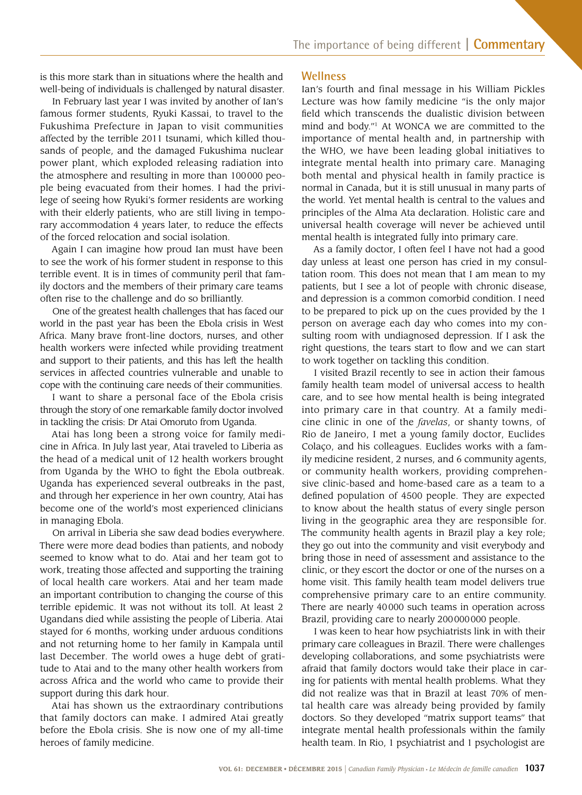is this more stark than in situations where the health and well-being of individuals is challenged by natural disaster.

In February last year I was invited by another of Ian's famous former students, Ryuki Kassai, to travel to the Fukushima Prefecture in Japan to visit communities affected by the terrible 2011 tsunami, which killed thousands of people, and the damaged Fukushima nuclear power plant, which exploded releasing radiation into the atmosphere and resulting in more than 100000 people being evacuated from their homes. I had the privilege of seeing how Ryuki's former residents are working with their elderly patients, who are still living in temporary accommodation 4 years later, to reduce the effects of the forced relocation and social isolation.

Again I can imagine how proud Ian must have been to see the work of his former student in response to this terrible event. It is in times of community peril that family doctors and the members of their primary care teams often rise to the challenge and do so brilliantly.

One of the greatest health challenges that has faced our world in the past year has been the Ebola crisis in West Africa. Many brave front-line doctors, nurses, and other health workers were infected while providing treatment and support to their patients, and this has left the health services in affected countries vulnerable and unable to cope with the continuing care needs of their communities.

I want to share a personal face of the Ebola crisis through the story of one remarkable family doctor involved in tackling the crisis: Dr Atai Omoruto from Uganda.

Atai has long been a strong voice for family medicine in Africa. In July last year, Atai traveled to Liberia as the head of a medical unit of 12 health workers brought from Uganda by the WHO to fight the Ebola outbreak. Uganda has experienced several outbreaks in the past, and through her experience in her own country, Atai has become one of the world's most experienced clinicians in managing Ebola.

On arrival in Liberia she saw dead bodies everywhere. There were more dead bodies than patients, and nobody seemed to know what to do. Atai and her team got to work, treating those affected and supporting the training of local health care workers. Atai and her team made an important contribution to changing the course of this terrible epidemic. It was not without its toll. At least 2 Ugandans died while assisting the people of Liberia. Atai stayed for 6 months, working under arduous conditions and not returning home to her family in Kampala until last December. The world owes a huge debt of gratitude to Atai and to the many other health workers from across Africa and the world who came to provide their support during this dark hour.

Atai has shown us the extraordinary contributions that family doctors can make. I admired Atai greatly before the Ebola crisis. She is now one of my all-time heroes of family medicine.

### **Wellness**

Ian's fourth and final message in his William Pickles Lecture was how family medicine "is the only major field which transcends the dualistic division between mind and body."1 At WONCA we are committed to the importance of mental health and, in partnership with the WHO, we have been leading global initiatives to integrate mental health into primary care. Managing both mental and physical health in family practice is normal in Canada, but it is still unusual in many parts of the world. Yet mental health is central to the values and principles of the Alma Ata declaration. Holistic care and universal health coverage will never be achieved until mental health is integrated fully into primary care.

As a family doctor, I often feel I have not had a good day unless at least one person has cried in my consultation room. This does not mean that I am mean to my patients, but I see a lot of people with chronic disease, and depression is a common comorbid condition. I need to be prepared to pick up on the cues provided by the 1 person on average each day who comes into my consulting room with undiagnosed depression. If I ask the right questions, the tears start to flow and we can start to work together on tackling this condition.

I visited Brazil recently to see in action their famous family health team model of universal access to health care, and to see how mental health is being integrated into primary care in that country. At a family medicine clinic in one of the *favelas*, or shanty towns, of Rio de Janeiro, I met a young family doctor, Euclides Colaço, and his colleagues. Euclides works with a family medicine resident, 2 nurses, and 6 community agents, or community health workers, providing comprehensive clinic-based and home-based care as a team to a defined population of 4500 people. They are expected to know about the health status of every single person living in the geographic area they are responsible for. The community health agents in Brazil play a key role; they go out into the community and visit everybody and bring those in need of assessment and assistance to the clinic, or they escort the doctor or one of the nurses on a home visit. This family health team model delivers true comprehensive primary care to an entire community. There are nearly 40000 such teams in operation across Brazil, providing care to nearly 200000000 people.

I was keen to hear how psychiatrists link in with their primary care colleagues in Brazil. There were challenges developing collaborations, and some psychiatrists were afraid that family doctors would take their place in caring for patients with mental health problems. What they did not realize was that in Brazil at least 70% of mental health care was already being provided by family doctors. So they developed "matrix support teams" that integrate mental health professionals within the family health team. In Rio, 1 psychiatrist and 1 psychologist are